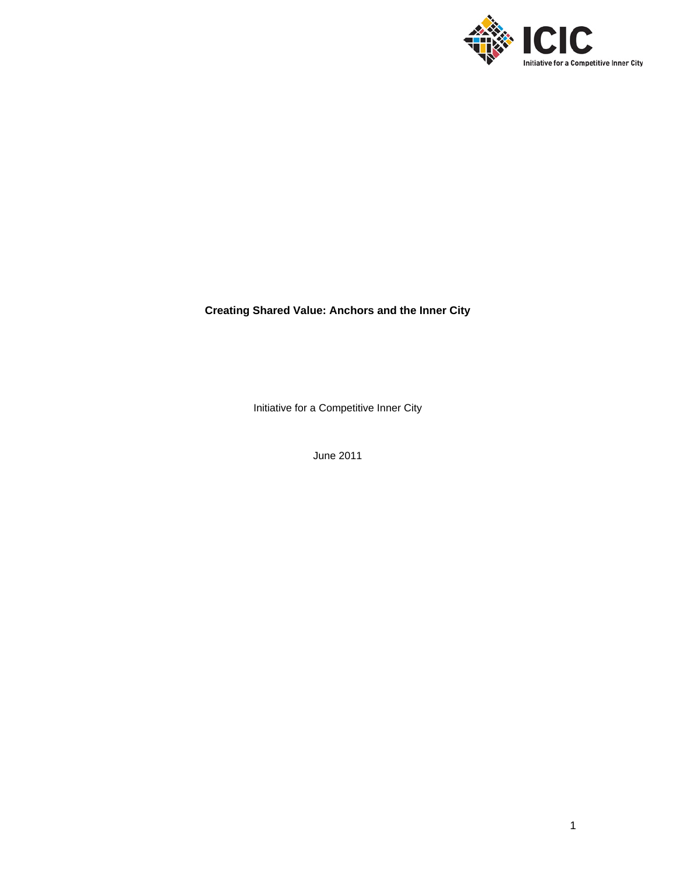

# **Creating Shared Value: Anchors and the Inner City**

Initiative for a Competitive Inner City

June 2011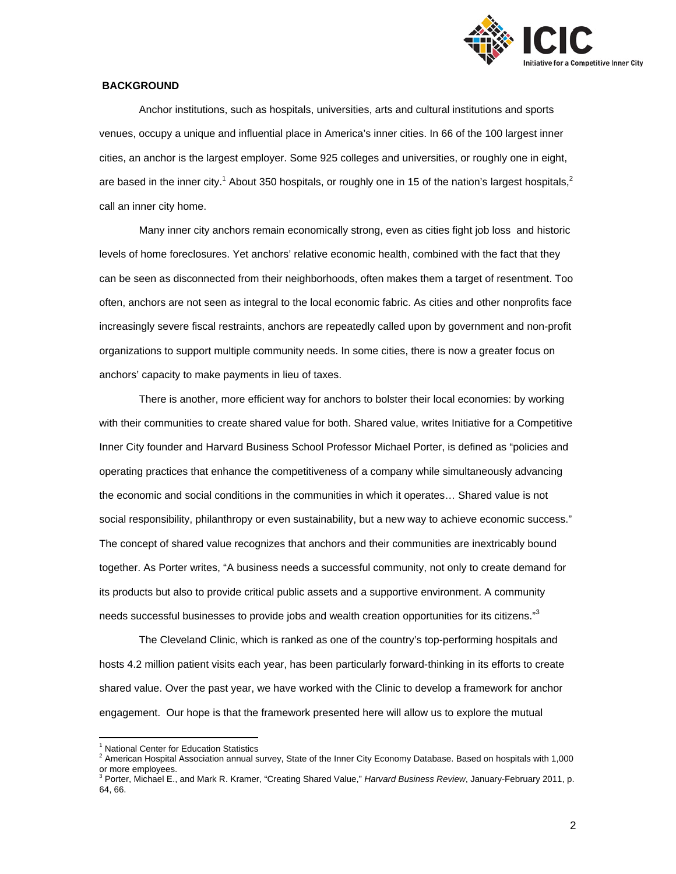

# **BACKGROUND**

Anchor institutions, such as hospitals, universities, arts and cultural institutions and sports venues, occupy a unique and influential place in America's inner cities. In 66 of the 100 largest inner cities, an anchor is the largest employer. Some 925 colleges and universities, or roughly one in eight, are based in the inner city.<sup>1</sup> About 350 hospitals, or roughly one in 15 of the nation's largest hospitals,<sup>2</sup> call an inner city home.

Many inner city anchors remain economically strong, even as cities fight job loss and historic levels of home foreclosures. Yet anchors' relative economic health, combined with the fact that they can be seen as disconnected from their neighborhoods, often makes them a target of resentment. Too often, anchors are not seen as integral to the local economic fabric. As cities and other nonprofits face increasingly severe fiscal restraints, anchors are repeatedly called upon by government and non-profit organizations to support multiple community needs. In some cities, there is now a greater focus on anchors' capacity to make payments in lieu of taxes.

 There is another, more efficient way for anchors to bolster their local economies: by working with their communities to create shared value for both. Shared value, writes Initiative for a Competitive Inner City founder and Harvard Business School Professor Michael Porter, is defined as "policies and operating practices that enhance the competitiveness of a company while simultaneously advancing the economic and social conditions in the communities in which it operates… Shared value is not social responsibility, philanthropy or even sustainability, but a new way to achieve economic success." The concept of shared value recognizes that anchors and their communities are inextricably bound together. As Porter writes, "A business needs a successful community, not only to create demand for its products but also to provide critical public assets and a supportive environment. A community needs successful businesses to provide jobs and wealth creation opportunities for its citizens."<sup>3</sup>

The Cleveland Clinic, which is ranked as one of the country's top-performing hospitals and hosts 4.2 million patient visits each year, has been particularly forward-thinking in its efforts to create shared value. Over the past year, we have worked with the Clinic to develop a framework for anchor engagement. Our hope is that the framework presented here will allow us to explore the mutual

 $\overline{a}$ <sup>1</sup> National Center for Education Statistics<br><sup>2</sup> American Hearital Accoriation annual at

<sup>2</sup> American Hospital Association annual survey, State of the Inner City Economy Database. Based on hospitals with 1,000 or more employees.<br><sup>3</sup> Porter, Michael E., and Mark R. Kramer, "Creating Shared Value," *Harvard Business Review*, January-February 2011, p.

<sup>64, 66.</sup>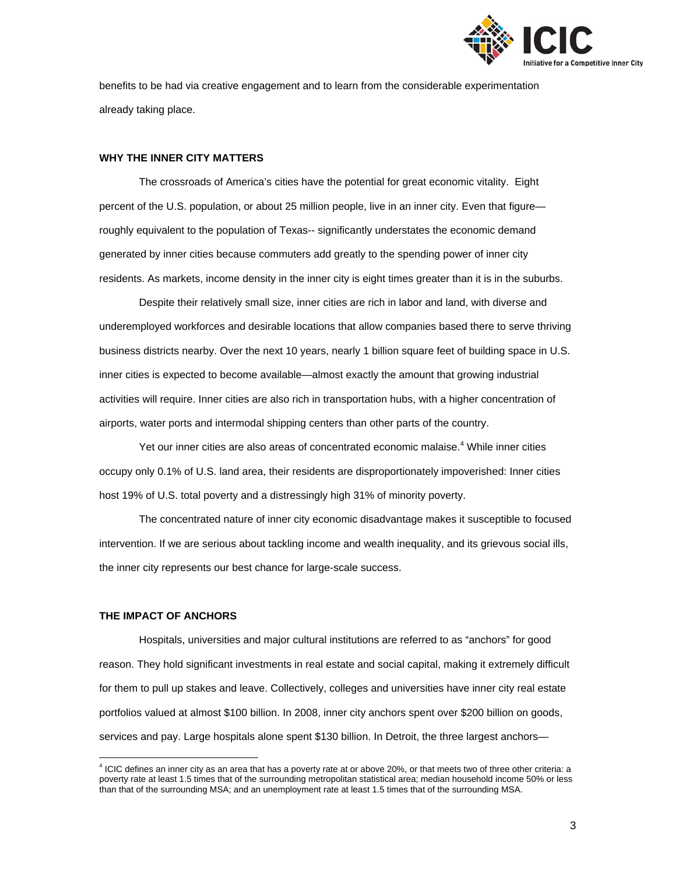

benefits to be had via creative engagement and to learn from the considerable experimentation already taking place.

#### **WHY THE INNER CITY MATTERS**

The crossroads of America's cities have the potential for great economic vitality. Eight percent of the U.S. population, or about 25 million people, live in an inner city. Even that figure roughly equivalent to the population of Texas-- significantly understates the economic demand generated by inner cities because commuters add greatly to the spending power of inner city residents. As markets, income density in the inner city is eight times greater than it is in the suburbs.

Despite their relatively small size, inner cities are rich in labor and land, with diverse and underemployed workforces and desirable locations that allow companies based there to serve thriving business districts nearby. Over the next 10 years, nearly 1 billion square feet of building space in U.S. inner cities is expected to become available—almost exactly the amount that growing industrial activities will require. Inner cities are also rich in transportation hubs, with a higher concentration of airports, water ports and intermodal shipping centers than other parts of the country.

Yet our inner cities are also areas of concentrated economic malaise.<sup>4</sup> While inner cities occupy only 0.1% of U.S. land area, their residents are disproportionately impoverished: Inner cities host 19% of U.S. total poverty and a distressingly high 31% of minority poverty.

The concentrated nature of inner city economic disadvantage makes it susceptible to focused intervention. If we are serious about tackling income and wealth inequality, and its grievous social ills, the inner city represents our best chance for large-scale success.

#### **THE IMPACT OF ANCHORS**

 $\overline{a}$ 

Hospitals, universities and major cultural institutions are referred to as "anchors" for good reason. They hold significant investments in real estate and social capital, making it extremely difficult for them to pull up stakes and leave. Collectively, colleges and universities have inner city real estate portfolios valued at almost \$100 billion. In 2008, inner city anchors spent over \$200 billion on goods, services and pay. Large hospitals alone spent \$130 billion. In Detroit, the three largest anchors—

<sup>&</sup>lt;sup>4</sup> ICIC defines an inner city as an area that has a poverty rate at or above 20%, or that meets two of three other criteria: a poverty rate at least 1.5 times that of the surrounding metropolitan statistical area; median household income 50% or less than that of the surrounding MSA; and an unemployment rate at least 1.5 times that of the surrounding MSA.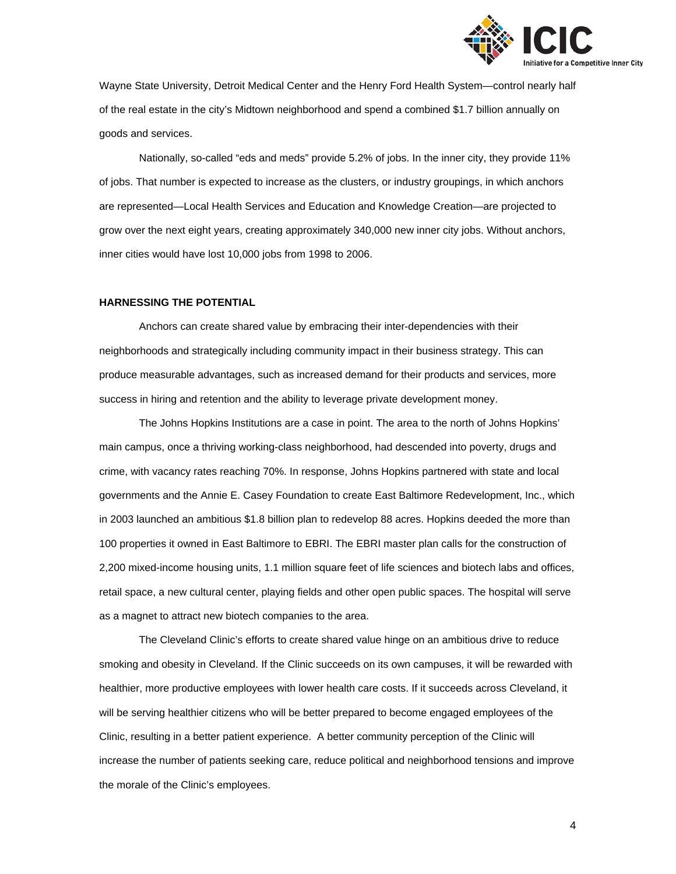

Wayne State University, Detroit Medical Center and the Henry Ford Health System—control nearly half of the real estate in the city's Midtown neighborhood and spend a combined \$1.7 billion annually on goods and services.

Nationally, so-called "eds and meds" provide 5.2% of jobs. In the inner city, they provide 11% of jobs. That number is expected to increase as the clusters, or industry groupings, in which anchors are represented—Local Health Services and Education and Knowledge Creation—are projected to grow over the next eight years, creating approximately 340,000 new inner city jobs. Without anchors, inner cities would have lost 10,000 jobs from 1998 to 2006.

#### **HARNESSING THE POTENTIAL**

Anchors can create shared value by embracing their inter-dependencies with their neighborhoods and strategically including community impact in their business strategy. This can produce measurable advantages, such as increased demand for their products and services, more success in hiring and retention and the ability to leverage private development money.

The Johns Hopkins Institutions are a case in point. The area to the north of Johns Hopkins' main campus, once a thriving working-class neighborhood, had descended into poverty, drugs and crime, with vacancy rates reaching 70%. In response, Johns Hopkins partnered with state and local governments and the Annie E. Casey Foundation to create East Baltimore Redevelopment, Inc., which in 2003 launched an ambitious \$1.8 billion plan to redevelop 88 acres. Hopkins deeded the more than 100 properties it owned in East Baltimore to EBRI. The EBRI master plan calls for the construction of 2,200 mixed-income housing units, 1.1 million square feet of life sciences and biotech labs and offices, retail space, a new cultural center, playing fields and other open public spaces. The hospital will serve as a magnet to attract new biotech companies to the area.

The Cleveland Clinic's efforts to create shared value hinge on an ambitious drive to reduce smoking and obesity in Cleveland. If the Clinic succeeds on its own campuses, it will be rewarded with healthier, more productive employees with lower health care costs. If it succeeds across Cleveland, it will be serving healthier citizens who will be better prepared to become engaged employees of the Clinic, resulting in a better patient experience. A better community perception of the Clinic will increase the number of patients seeking care, reduce political and neighborhood tensions and improve the morale of the Clinic's employees.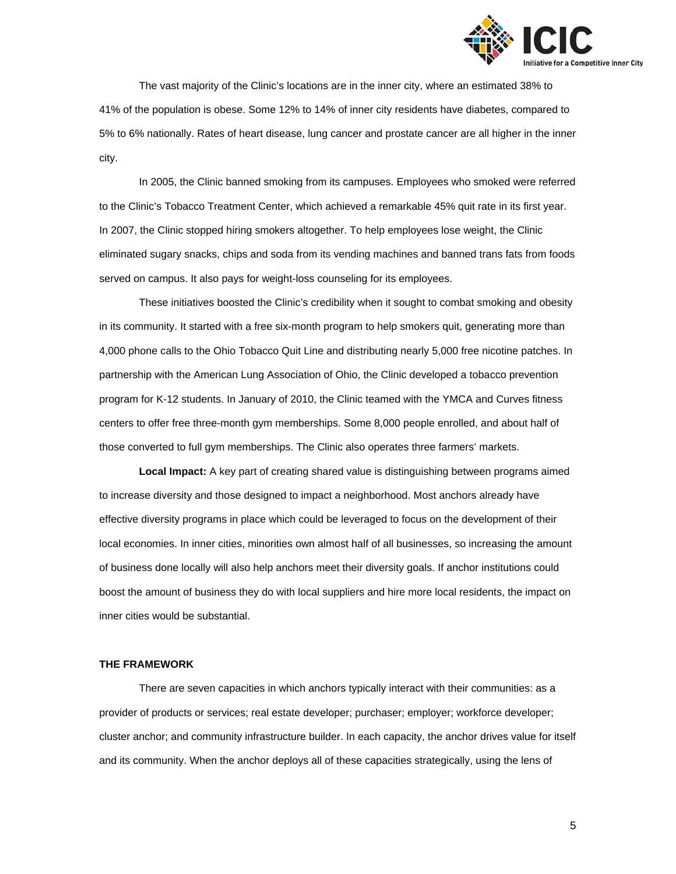

The vast majority of the Clinic's locations are in the inner city, where an estimated 38% to 41% of the population is obese. Some 12% to 14% of inner city residents have diabetes, compared to 5% to 6% nationally. Rates of heart disease, lung cancer and prostate cancer are all higher in the inner city.

In 2005, the Clinic banned smoking from its campuses. Employees who smoked were referred to the Clinic's Tobacco Treatment Center, which achieved a remarkable 45% quit rate in its first year. In 2007, the Clinic stopped hiring smokers altogether. To help employees lose weight, the Clinic eliminated sugary snacks, chips and soda from its vending machines and banned trans fats from foods served on campus. It also pays for weight-loss counseling for its employees.

These initiatives boosted the Clinic's credibility when it sought to combat smoking and obesity in its community. It started with a free six-month program to help smokers quit, generating more than 4,000 phone calls to the Ohio Tobacco Quit Line and distributing nearly 5,000 free nicotine patches. In partnership with the American Lung Association of Ohio, the Clinic developed a tobacco prevention program for K-12 students. In January of 2010, the Clinic teamed with the YMCA and Curves fitness centers to offer free three-month gym memberships. Some 8,000 people enrolled, and about half of those converted to full gym memberships. The Clinic also operates three farmers' markets.

**Local Impact:** A key part of creating shared value is distinguishing between programs aimed to increase diversity and those designed to impact a neighborhood. Most anchors already have effective diversity programs in place which could be leveraged to focus on the development of their local economies. In inner cities, minorities own almost half of all businesses, so increasing the amount of business done locally will also help anchors meet their diversity goals. If anchor institutions could boost the amount of business they do with local suppliers and hire more local residents, the impact on inner cities would be substantial.

#### **THE FRAMEWORK**

There are seven capacities in which anchors typically interact with their communities: as a provider of products or services; real estate developer; purchaser; employer; workforce developer; cluster anchor; and community infrastructure builder. In each capacity, the anchor drives value for itself and its community. When the anchor deploys all of these capacities strategically, using the lens of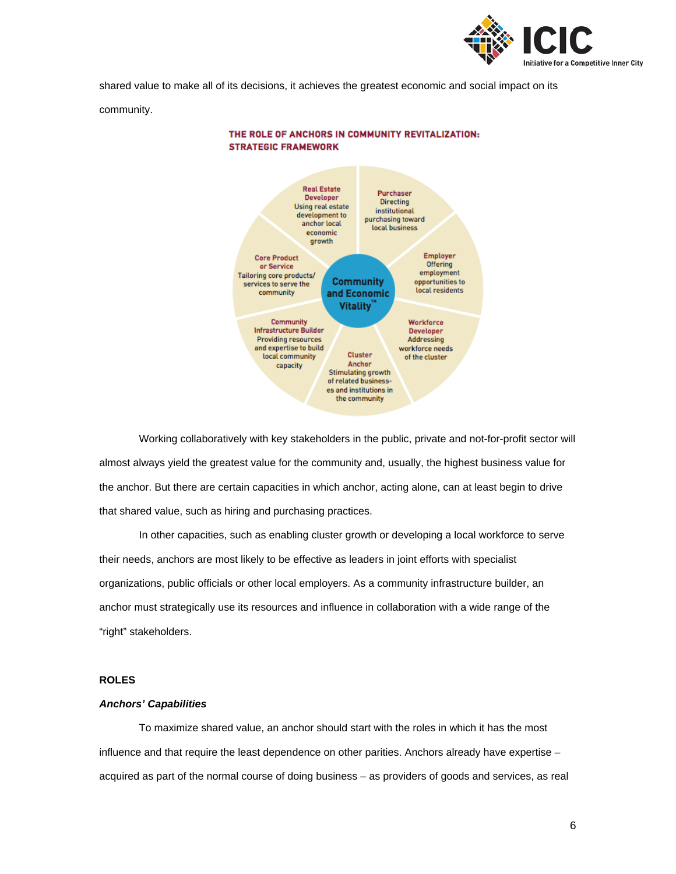

shared value to make all of its decisions, it achieves the greatest economic and social impact on its community.



THE ROLE OF ANCHORS IN COMMUNITY REVITALIZATION: **STRATEGIC FRAMEWORK** 

Working collaboratively with key stakeholders in the public, private and not-for-profit sector will almost always yield the greatest value for the community and, usually, the highest business value for the anchor. But there are certain capacities in which anchor, acting alone, can at least begin to drive that shared value, such as hiring and purchasing practices.

In other capacities, such as enabling cluster growth or developing a local workforce to serve their needs, anchors are most likely to be effective as leaders in joint efforts with specialist organizations, public officials or other local employers. As a community infrastructure builder, an anchor must strategically use its resources and influence in collaboration with a wide range of the "right" stakeholders.

# **ROLES**

# *Anchors' Capabilities*

To maximize shared value, an anchor should start with the roles in which it has the most influence and that require the least dependence on other parities. Anchors already have expertise – acquired as part of the normal course of doing business – as providers of goods and services, as real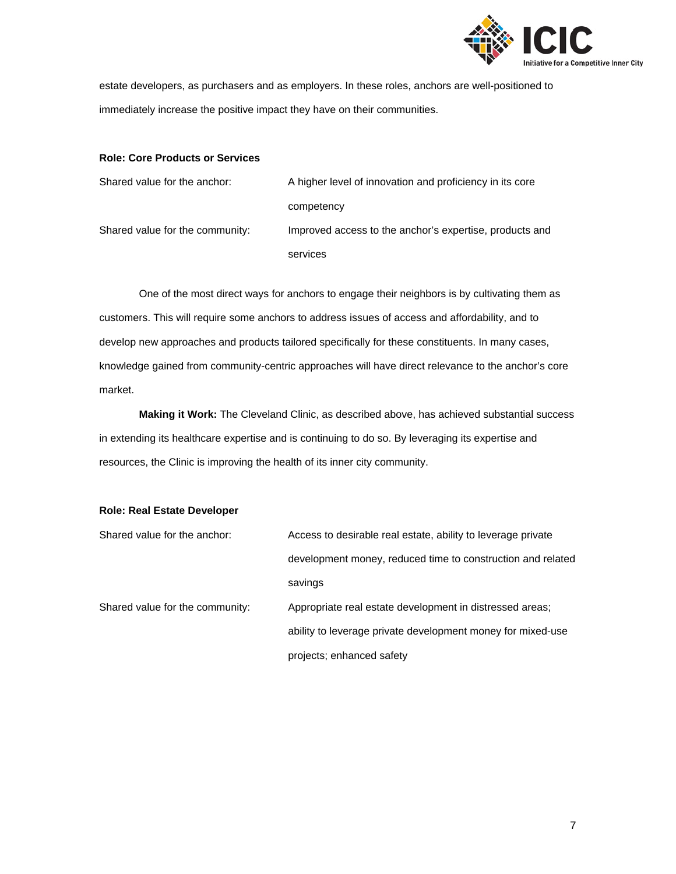

estate developers, as purchasers and as employers. In these roles, anchors are well-positioned to immediately increase the positive impact they have on their communities.

# **Role: Core Products or Services**

| Shared value for the anchor:    | A higher level of innovation and proficiency in its core |
|---------------------------------|----------------------------------------------------------|
|                                 | competency                                               |
| Shared value for the community: | Improved access to the anchor's expertise, products and  |
|                                 | services                                                 |

One of the most direct ways for anchors to engage their neighbors is by cultivating them as customers. This will require some anchors to address issues of access and affordability, and to develop new approaches and products tailored specifically for these constituents. In many cases, knowledge gained from community-centric approaches will have direct relevance to the anchor's core market.

**Making it Work:** The Cleveland Clinic, as described above, has achieved substantial success in extending its healthcare expertise and is continuing to do so. By leveraging its expertise and resources, the Clinic is improving the health of its inner city community.

# **Role: Real Estate Developer**

| Shared value for the anchor:    | Access to desirable real estate, ability to leverage private |
|---------------------------------|--------------------------------------------------------------|
|                                 | development money, reduced time to construction and related  |
|                                 | savings                                                      |
| Shared value for the community: | Appropriate real estate development in distressed areas;     |
|                                 | ability to leverage private development money for mixed-use  |
|                                 | projects; enhanced safety                                    |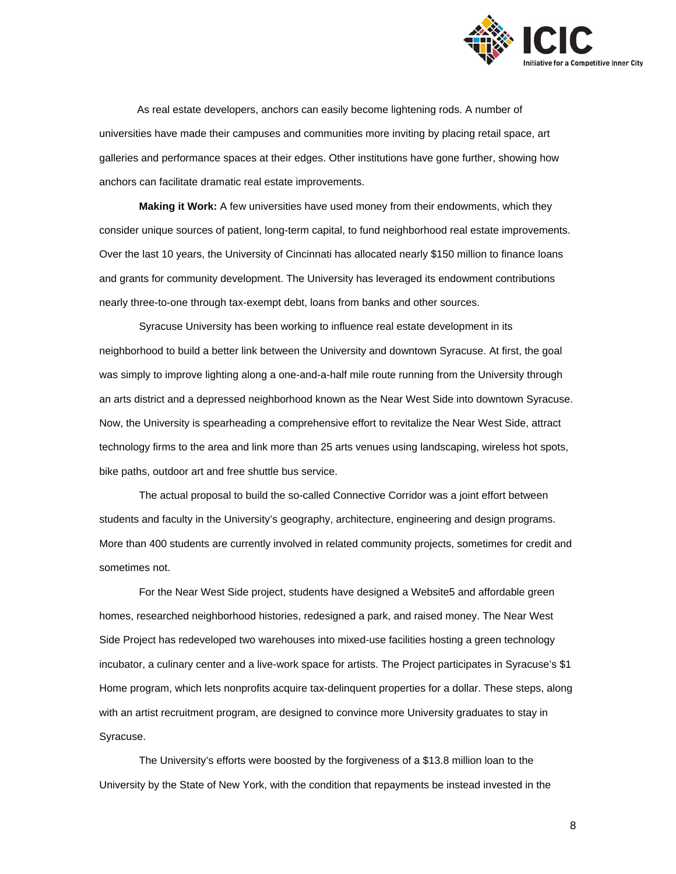

 As real estate developers, anchors can easily become lightening rods. A number of universities have made their campuses and communities more inviting by placing retail space, art galleries and performance spaces at their edges. Other institutions have gone further, showing how anchors can facilitate dramatic real estate improvements.

**Making it Work:** A few universities have used money from their endowments, which they consider unique sources of patient, long-term capital, to fund neighborhood real estate improvements. Over the last 10 years, the University of Cincinnati has allocated nearly \$150 million to finance loans and grants for community development. The University has leveraged its endowment contributions nearly three-to-one through tax-exempt debt, loans from banks and other sources.

Syracuse University has been working to influence real estate development in its neighborhood to build a better link between the University and downtown Syracuse. At first, the goal was simply to improve lighting along a one-and-a-half mile route running from the University through an arts district and a depressed neighborhood known as the Near West Side into downtown Syracuse. Now, the University is spearheading a comprehensive effort to revitalize the Near West Side, attract technology firms to the area and link more than 25 arts venues using landscaping, wireless hot spots, bike paths, outdoor art and free shuttle bus service.

The actual proposal to build the so-called Connective Corridor was a joint effort between students and faculty in the University's geography, architecture, engineering and design programs. More than 400 students are currently involved in related community projects, sometimes for credit and sometimes not.

For the Near West Side project, students have designed a Website5 and affordable green homes, researched neighborhood histories, redesigned a park, and raised money. The Near West Side Project has redeveloped two warehouses into mixed-use facilities hosting a green technology incubator, a culinary center and a live-work space for artists. The Project participates in Syracuse's \$1 Home program, which lets nonprofits acquire tax-delinquent properties for a dollar. These steps, along with an artist recruitment program, are designed to convince more University graduates to stay in Syracuse.

The University's efforts were boosted by the forgiveness of a \$13.8 million loan to the University by the State of New York, with the condition that repayments be instead invested in the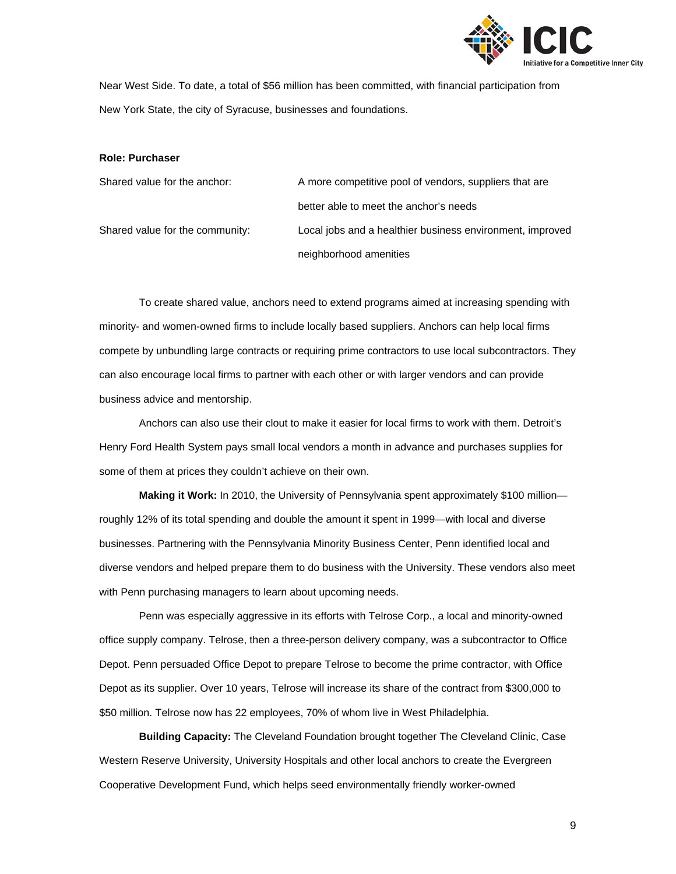

Near West Side. To date, a total of \$56 million has been committed, with financial participation from New York State, the city of Syracuse, businesses and foundations.

#### **Role: Purchaser**

| Shared value for the anchor:    | A more competitive pool of vendors, suppliers that are    |
|---------------------------------|-----------------------------------------------------------|
|                                 | better able to meet the anchor's needs                    |
| Shared value for the community: | Local jobs and a healthier business environment, improved |
|                                 | neighborhood amenities                                    |

To create shared value, anchors need to extend programs aimed at increasing spending with minority- and women-owned firms to include locally based suppliers. Anchors can help local firms compete by unbundling large contracts or requiring prime contractors to use local subcontractors. They can also encourage local firms to partner with each other or with larger vendors and can provide business advice and mentorship.

Anchors can also use their clout to make it easier for local firms to work with them. Detroit's Henry Ford Health System pays small local vendors a month in advance and purchases supplies for some of them at prices they couldn't achieve on their own.

**Making it Work:** In 2010, the University of Pennsylvania spent approximately \$100 million roughly 12% of its total spending and double the amount it spent in 1999—with local and diverse businesses. Partnering with the Pennsylvania Minority Business Center, Penn identified local and diverse vendors and helped prepare them to do business with the University. These vendors also meet with Penn purchasing managers to learn about upcoming needs.

Penn was especially aggressive in its efforts with Telrose Corp., a local and minority-owned office supply company. Telrose, then a three-person delivery company, was a subcontractor to Office Depot. Penn persuaded Office Depot to prepare Telrose to become the prime contractor, with Office Depot as its supplier. Over 10 years, Telrose will increase its share of the contract from \$300,000 to \$50 million. Telrose now has 22 employees, 70% of whom live in West Philadelphia.

**Building Capacity:** The Cleveland Foundation brought together The Cleveland Clinic, Case Western Reserve University, University Hospitals and other local anchors to create the Evergreen Cooperative Development Fund, which helps seed environmentally friendly worker-owned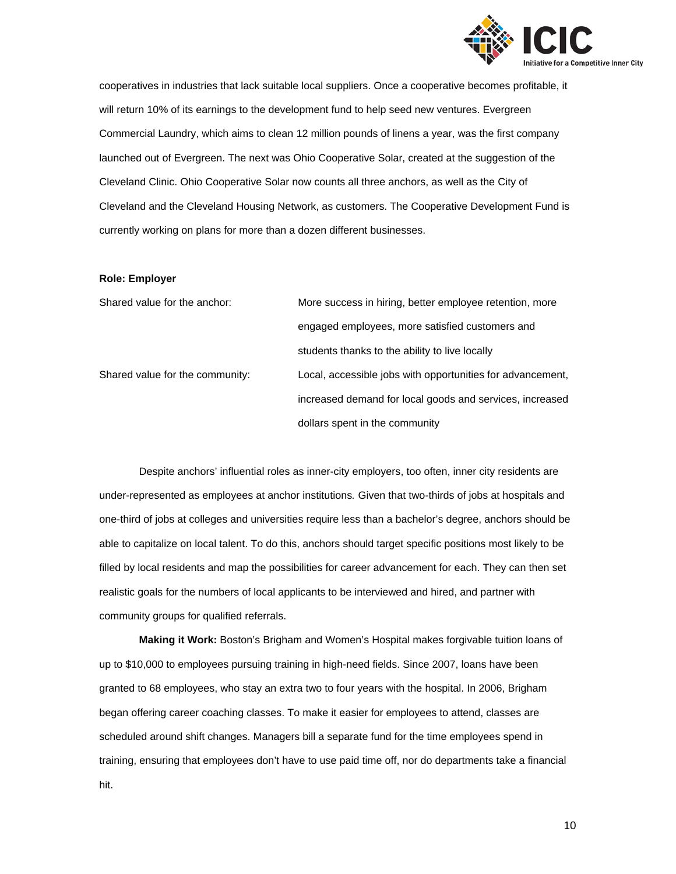

cooperatives in industries that lack suitable local suppliers. Once a cooperative becomes profitable, it will return 10% of its earnings to the development fund to help seed new ventures. Evergreen Commercial Laundry, which aims to clean 12 million pounds of linens a year, was the first company launched out of Evergreen. The next was Ohio Cooperative Solar, created at the suggestion of the Cleveland Clinic. Ohio Cooperative Solar now counts all three anchors, as well as the City of Cleveland and the Cleveland Housing Network, as customers. The Cooperative Development Fund is currently working on plans for more than a dozen different businesses.

# **Role: Employer**

| Shared value for the anchor:    | More success in hiring, better employee retention, more    |
|---------------------------------|------------------------------------------------------------|
|                                 | engaged employees, more satisfied customers and            |
|                                 | students thanks to the ability to live locally             |
| Shared value for the community: | Local, accessible jobs with opportunities for advancement, |
|                                 | increased demand for local goods and services, increased   |
|                                 | dollars spent in the community                             |

Despite anchors' influential roles as inner-city employers, too often, inner city residents are under-represented as employees at anchor institutions*.* Given that two-thirds of jobs at hospitals and one-third of jobs at colleges and universities require less than a bachelor's degree, anchors should be able to capitalize on local talent. To do this, anchors should target specific positions most likely to be filled by local residents and map the possibilities for career advancement for each. They can then set realistic goals for the numbers of local applicants to be interviewed and hired, and partner with community groups for qualified referrals.

**Making it Work:** Boston's Brigham and Women's Hospital makes forgivable tuition loans of up to \$10,000 to employees pursuing training in high-need fields. Since 2007, loans have been granted to 68 employees, who stay an extra two to four years with the hospital. In 2006, Brigham began offering career coaching classes. To make it easier for employees to attend, classes are scheduled around shift changes. Managers bill a separate fund for the time employees spend in training, ensuring that employees don't have to use paid time off, nor do departments take a financial hit.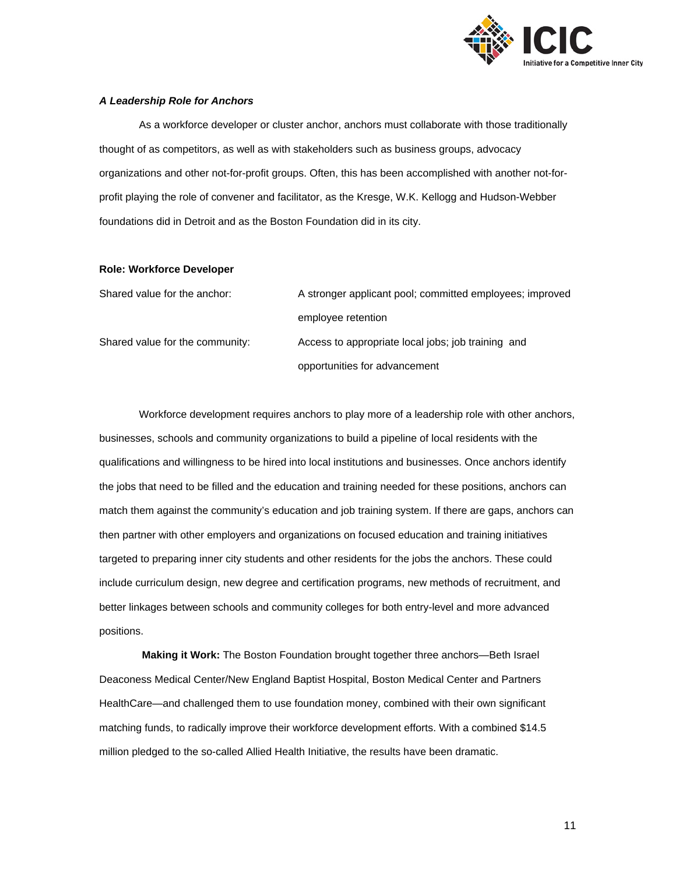

# *A Leadership Role for Anchors*

As a workforce developer or cluster anchor, anchors must collaborate with those traditionally thought of as competitors, as well as with stakeholders such as business groups, advocacy organizations and other not-for-profit groups. Often, this has been accomplished with another not-forprofit playing the role of convener and facilitator, as the Kresge, W.K. Kellogg and Hudson-Webber foundations did in Detroit and as the Boston Foundation did in its city.

# **Role: Workforce Developer**

| Shared value for the anchor:    | A stronger applicant pool; committed employees; improved |
|---------------------------------|----------------------------------------------------------|
|                                 | employee retention                                       |
| Shared value for the community: | Access to appropriate local jobs; job training and       |
|                                 | opportunities for advancement                            |

Workforce development requires anchors to play more of a leadership role with other anchors, businesses, schools and community organizations to build a pipeline of local residents with the qualifications and willingness to be hired into local institutions and businesses. Once anchors identify the jobs that need to be filled and the education and training needed for these positions, anchors can match them against the community's education and job training system. If there are gaps, anchors can then partner with other employers and organizations on focused education and training initiatives targeted to preparing inner city students and other residents for the jobs the anchors. These could include curriculum design, new degree and certification programs, new methods of recruitment, and better linkages between schools and community colleges for both entry-level and more advanced positions.

**Making it Work:** The Boston Foundation brought together three anchors—Beth Israel Deaconess Medical Center/New England Baptist Hospital, Boston Medical Center and Partners HealthCare—and challenged them to use foundation money, combined with their own significant matching funds, to radically improve their workforce development efforts. With a combined \$14.5 million pledged to the so-called Allied Health Initiative, the results have been dramatic.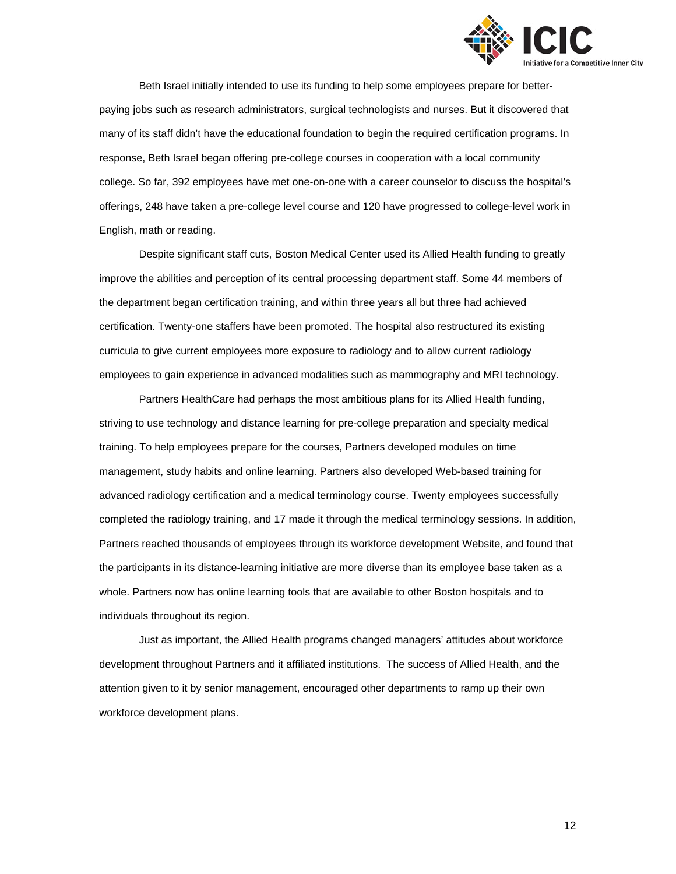

Beth Israel initially intended to use its funding to help some employees prepare for betterpaying jobs such as research administrators, surgical technologists and nurses. But it discovered that many of its staff didn't have the educational foundation to begin the required certification programs. In response, Beth Israel began offering pre-college courses in cooperation with a local community college. So far, 392 employees have met one-on-one with a career counselor to discuss the hospital's offerings, 248 have taken a pre-college level course and 120 have progressed to college-level work in English, math or reading.

Despite significant staff cuts, Boston Medical Center used its Allied Health funding to greatly improve the abilities and perception of its central processing department staff. Some 44 members of the department began certification training, and within three years all but three had achieved certification. Twenty-one staffers have been promoted. The hospital also restructured its existing curricula to give current employees more exposure to radiology and to allow current radiology employees to gain experience in advanced modalities such as mammography and MRI technology.

Partners HealthCare had perhaps the most ambitious plans for its Allied Health funding, striving to use technology and distance learning for pre-college preparation and specialty medical training. To help employees prepare for the courses, Partners developed modules on time management, study habits and online learning. Partners also developed Web-based training for advanced radiology certification and a medical terminology course. Twenty employees successfully completed the radiology training, and 17 made it through the medical terminology sessions. In addition, Partners reached thousands of employees through its workforce development Website, and found that the participants in its distance-learning initiative are more diverse than its employee base taken as a whole. Partners now has online learning tools that are available to other Boston hospitals and to individuals throughout its region.

Just as important, the Allied Health programs changed managers' attitudes about workforce development throughout Partners and it affiliated institutions. The success of Allied Health, and the attention given to it by senior management, encouraged other departments to ramp up their own workforce development plans.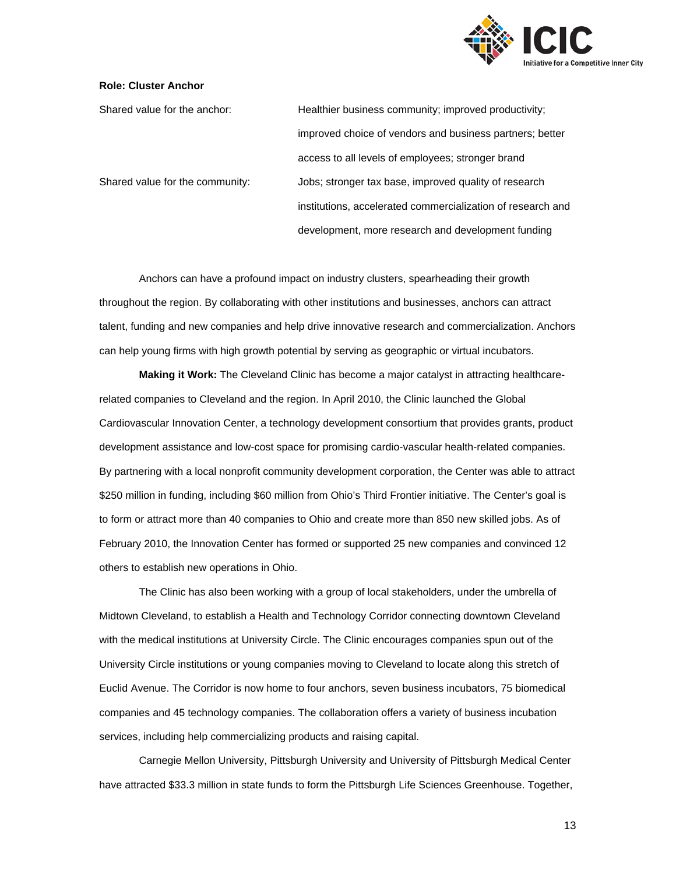

# **Role: Cluster Anchor**

Shared value for the anchor: Healthier business community; improved productivity; improved choice of vendors and business partners; better access to all levels of employees; stronger brand Shared value for the community: Jobs; stronger tax base, improved quality of research institutions, accelerated commercialization of research and development, more research and development funding

Anchors can have a profound impact on industry clusters, spearheading their growth throughout the region. By collaborating with other institutions and businesses, anchors can attract talent, funding and new companies and help drive innovative research and commercialization. Anchors can help young firms with high growth potential by serving as geographic or virtual incubators.

**Making it Work:** The Cleveland Clinic has become a major catalyst in attracting healthcarerelated companies to Cleveland and the region. In April 2010, the Clinic launched the Global Cardiovascular Innovation Center, a technology development consortium that provides grants, product development assistance and low-cost space for promising cardio-vascular health-related companies. By partnering with a local nonprofit community development corporation, the Center was able to attract \$250 million in funding, including \$60 million from Ohio's Third Frontier initiative. The Center's goal is to form or attract more than 40 companies to Ohio and create more than 850 new skilled jobs. As of February 2010, the Innovation Center has formed or supported 25 new companies and convinced 12 others to establish new operations in Ohio.

The Clinic has also been working with a group of local stakeholders, under the umbrella of Midtown Cleveland, to establish a Health and Technology Corridor connecting downtown Cleveland with the medical institutions at University Circle. The Clinic encourages companies spun out of the University Circle institutions or young companies moving to Cleveland to locate along this stretch of Euclid Avenue. The Corridor is now home to four anchors, seven business incubators, 75 biomedical companies and 45 technology companies. The collaboration offers a variety of business incubation services, including help commercializing products and raising capital.

Carnegie Mellon University, Pittsburgh University and University of Pittsburgh Medical Center have attracted \$33.3 million in state funds to form the Pittsburgh Life Sciences Greenhouse. Together,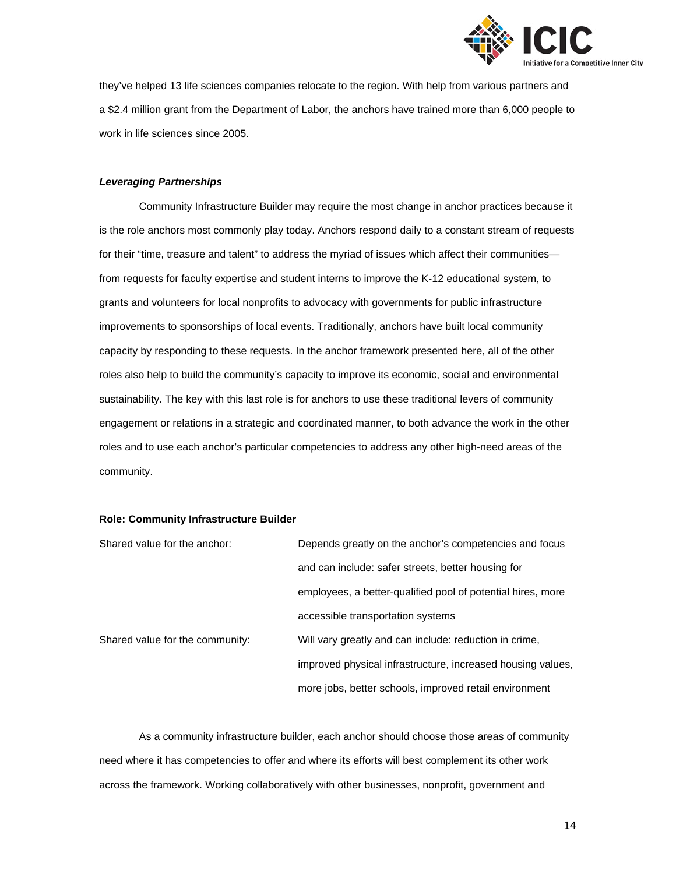

they've helped 13 life sciences companies relocate to the region. With help from various partners and a \$2.4 million grant from the Department of Labor, the anchors have trained more than 6,000 people to work in life sciences since 2005.

# *Leveraging Partnerships*

Community Infrastructure Builder may require the most change in anchor practices because it is the role anchors most commonly play today. Anchors respond daily to a constant stream of requests for their "time, treasure and talent" to address the myriad of issues which affect their communitiesfrom requests for faculty expertise and student interns to improve the K-12 educational system, to grants and volunteers for local nonprofits to advocacy with governments for public infrastructure improvements to sponsorships of local events. Traditionally, anchors have built local community capacity by responding to these requests. In the anchor framework presented here, all of the other roles also help to build the community's capacity to improve its economic, social and environmental sustainability. The key with this last role is for anchors to use these traditional levers of community engagement or relations in a strategic and coordinated manner, to both advance the work in the other roles and to use each anchor's particular competencies to address any other high-need areas of the community.

## **Role: Community Infrastructure Builder**

| Shared value for the anchor:    | Depends greatly on the anchor's competencies and focus      |
|---------------------------------|-------------------------------------------------------------|
|                                 | and can include: safer streets, better housing for          |
|                                 | employees, a better-qualified pool of potential hires, more |
|                                 | accessible transportation systems                           |
| Shared value for the community: | Will vary greatly and can include: reduction in crime,      |
|                                 | improved physical infrastructure, increased housing values, |
|                                 | more jobs, better schools, improved retail environment      |

As a community infrastructure builder, each anchor should choose those areas of community need where it has competencies to offer and where its efforts will best complement its other work across the framework. Working collaboratively with other businesses, nonprofit, government and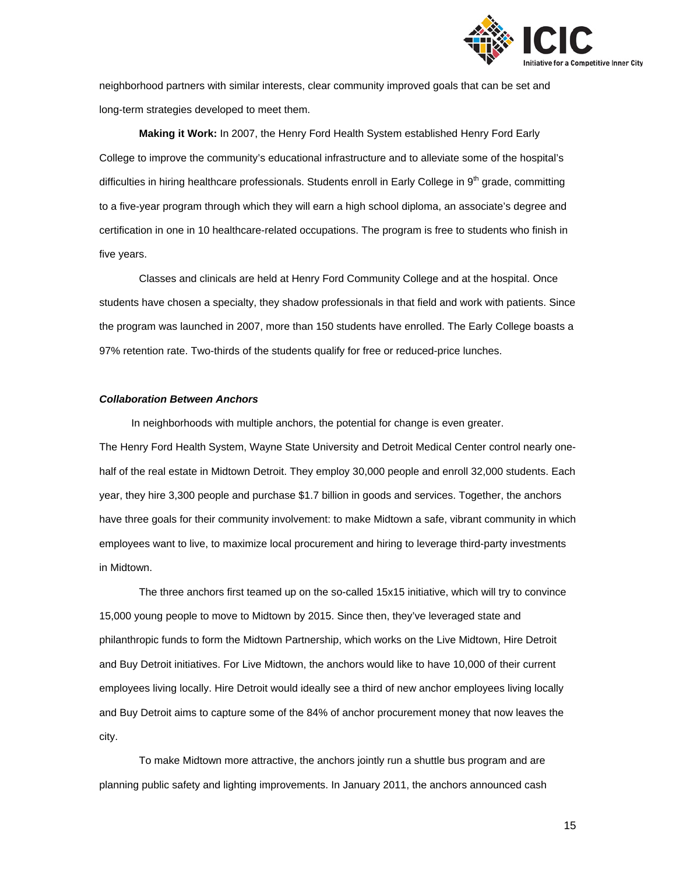

neighborhood partners with similar interests, clear community improved goals that can be set and long-term strategies developed to meet them.

**Making it Work:** In 2007, the Henry Ford Health System established Henry Ford Early College to improve the community's educational infrastructure and to alleviate some of the hospital's difficulties in hiring healthcare professionals. Students enroll in Early College in 9<sup>th</sup> grade, committing to a five-year program through which they will earn a high school diploma, an associate's degree and certification in one in 10 healthcare-related occupations. The program is free to students who finish in five years.

Classes and clinicals are held at Henry Ford Community College and at the hospital. Once students have chosen a specialty, they shadow professionals in that field and work with patients. Since the program was launched in 2007, more than 150 students have enrolled. The Early College boasts a 97% retention rate. Two-thirds of the students qualify for free or reduced-price lunches.

# *Collaboration Between Anchors*

 In neighborhoods with multiple anchors, the potential for change is even greater. The Henry Ford Health System, Wayne State University and Detroit Medical Center control nearly onehalf of the real estate in Midtown Detroit. They employ 30,000 people and enroll 32,000 students. Each year, they hire 3,300 people and purchase \$1.7 billion in goods and services. Together, the anchors have three goals for their community involvement: to make Midtown a safe, vibrant community in which employees want to live, to maximize local procurement and hiring to leverage third-party investments in Midtown.

The three anchors first teamed up on the so-called 15x15 initiative, which will try to convince 15,000 young people to move to Midtown by 2015. Since then, they've leveraged state and philanthropic funds to form the Midtown Partnership, which works on the Live Midtown, Hire Detroit and Buy Detroit initiatives. For Live Midtown, the anchors would like to have 10,000 of their current employees living locally. Hire Detroit would ideally see a third of new anchor employees living locally and Buy Detroit aims to capture some of the 84% of anchor procurement money that now leaves the city.

To make Midtown more attractive, the anchors jointly run a shuttle bus program and are planning public safety and lighting improvements. In January 2011, the anchors announced cash